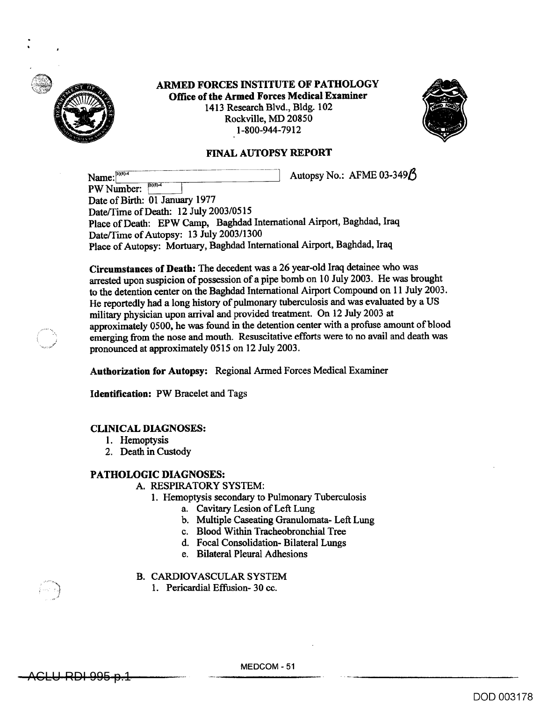

**ARMED FORCES INSTITUTE OF PATHOLOGY Office of the Armed Forces Medical Examiner**  1413 Research Blvd., Bldg. 102 Rockville, MD 20850 1-800-944-7912



# **FINAL AUTOPSY REPORT**

Name:  $\frac{b}{(b)(b)}$  6  $\frac{b}{(b)(b)}$  6  $\frac{b}{(b)(b)}$  6  $\frac{b}{(b)(b)}$  6  $\frac{b}{(b)(b)}$  6  $\frac{b}{(b)(b)}$  6  $\frac{b}{(b)(b)}$  6  $\frac{b}{(b)(b)}$  6  $\frac{b}{(b)(b)}$  6  $\frac{b}{(b)(b)}$  6  $\frac{b}{(b)(b)}$  6  $\frac{b}{(b)(b)}$  6  $\frac{b}{(b)(b)}$  6  $\frac{b}{(b)(b)}$  6  $\frac{b$ PW Number: Date of Birth: 01 January 1977 Date/Time of Death: 12 July 2003/0515 Place of Death: EPW Camp, Baghdad International Airport, Baghdad, Iraq Date/Time of Autopsy: 13 July 2003/1300 Place of Autopsy: Mortuary, Baghdad International Airport, Baghdad, Iraq

**Circumstances of Death:** The decedent was a 26 year-old Iraq detainee who was arrested upon suspicion of possession of a pipe bomb on 10 July 2003. He was brought to the detention center on the Baghdad International Airport Compound on 11 July 2003. He reportedly had a long history of pulmonary tuberculosis and was evaluated by a US military physician upon arrival and provided treatment. On 12 July 2003 at approximately 0500, he was found in the detention center with a profuse amount of blood emerging from the nose and mouth. Resuscitative efforts were to no avail and death was pronounced at approximately 0515 on 12 July 2003.

**Authorization for Autopsy:** Regional Armed Forces Medical Examiner

**Identification:** PW Bracelet and Tags

## **CLINICAL DIAGNOSES:**

- 1. Hemoptysis
- 2. Death in Custody

## **PATHOLOGIC DIAGNOSES:**

### A. RESPIRATORY SYSTEM:

- 1. Hemoptysis secondary to Pulmonary Tuberculosis
	- a. Cavitary Lesion of Left Lung
	- b. Multiple Caseating Granulomata- Left Lung
	- c. Blood Within Tracheobronchial Tree
	- d. Focal Consolidation- Bilateral Lungs
	- e. Bilateral Pleural Adhesions
- B. CARDIOVASCULAR SYSTEM
	- 1. Pericardial Effusion- 30 cc.

ACLU-RDI 995 p.1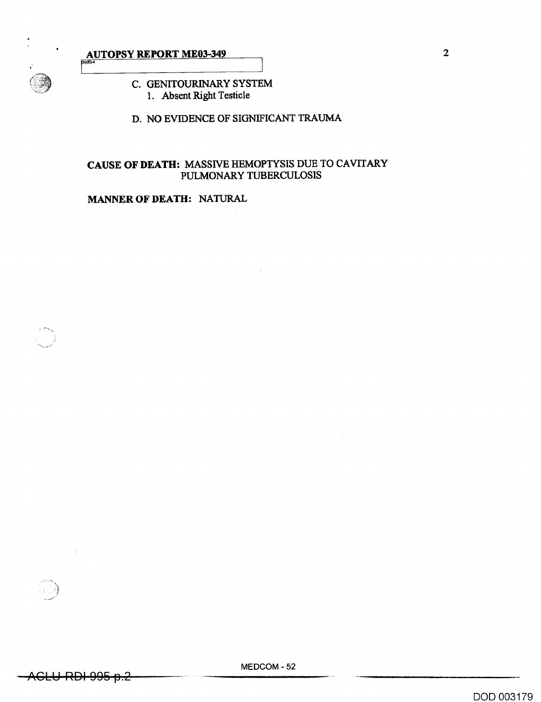

# **AUTOPSY REPORT ME03-349** 2

# C. GENITOURINARY SYSTEM 1. Absent Right Testicle

D. NO EVIDENCE OF SIGNIFICANT TRAUMA

# CAUSE **OF DEATH:** MASSIVE HEMOPTYSIS DUE TO CAVITARY PULMONARY TUBERCULOSIS

# **MANNER OF DEATH:** NATURAL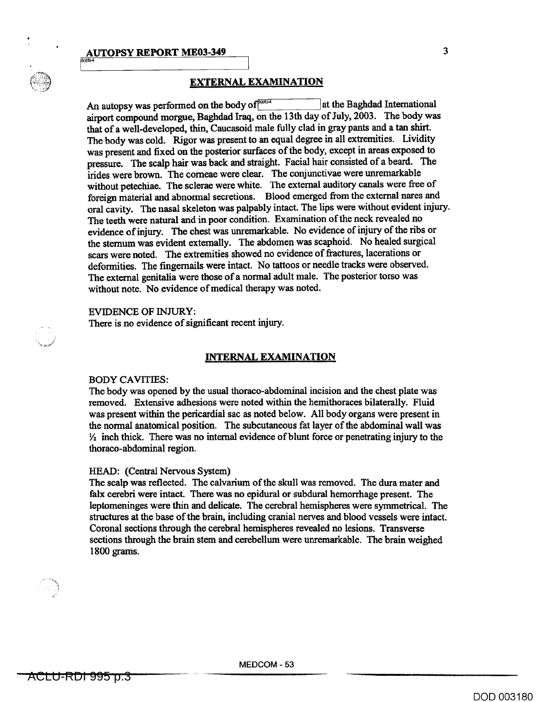### **AUTOPSY REPORT ME03-349** 2 3



# **EXTERNAL EXAMINATION**

An autopsy was performed on the body of<sup>[606]</sup> at the Baghdad International **airport compound morgue, Baghdad Iraq, on the 13th day of July, 2003. The body was that of a well-developed, thin, Caucasoid male fully clad in gray pants and a tan shirt. The body was cold. Rigor was present to an equal degree in all extremities. Lividity was present and fixed on the posterior surfaces of the body, except in areas exposed to pressure. The scalp hair was back and straight. Facial hair consisted of a beard. The irides were brown. The corneae were clear. The conjunctivae were unremarkable without petechiae. The sclerae were white. The external auditory canals were free of foreign material and abnormal secretions. Blood emerged from the external nares and oral cavity. The nasal skeleton was palpably intact. The lips were without evident injury. The teeth were natural and in poor condition. Examination of the neck revealed no evidence of injury. The chest was unremarkable. No evidence of injury of the ribs or the sternum was evident externally. The abdomen was scaphoid. No healed surgical scars were noted. The extremities showed no evidence of fractures, lacerations or deformities. The fingernails were intact. No tattoos or needle tracks were observed. The external genitalia were those of a normal adult male. The posterior torso was without note. No evidence of medical therapy was noted.** 

### **EVIDENCE OF INJURY:**

**There is no evidence of significant recent injury.** 

### **INTERNAL EXAMINATION**

#### **BODY CAVITIES:**

**The body was opened by the usual thoraco-abdominal incision and the chest plate was removed. Extensive adhesions were noted within the hemithoraces bilaterally. Fluid was present within the pericardial sac as noted below. All body organs were present in the normal anatomical position. The subcutaneous fat layer of the abdominal wall was 1/2 inch thick. There was no internal evidence of blunt force or penetrating injury to the thoraco-abdominal region.** 

### **HEAD: (Central Nervous System)**

**The scalp was reflected. The calvarium of the skull was removed. The dura mater and falx cerebri were intact. There was no epidural or subdural hemorrhage present. The leptomeninges were thin and delicate. The cerebral hemispheres were symmetrical. The structures at the base of the brain, including cranial nerves and blood vessels were intact. Coronal sections through the cerebral hemispheres revealed no lesions. Transverse sections through the brain stem and cerebellum were unremarkable. The brain weighed 1800 grams.** 

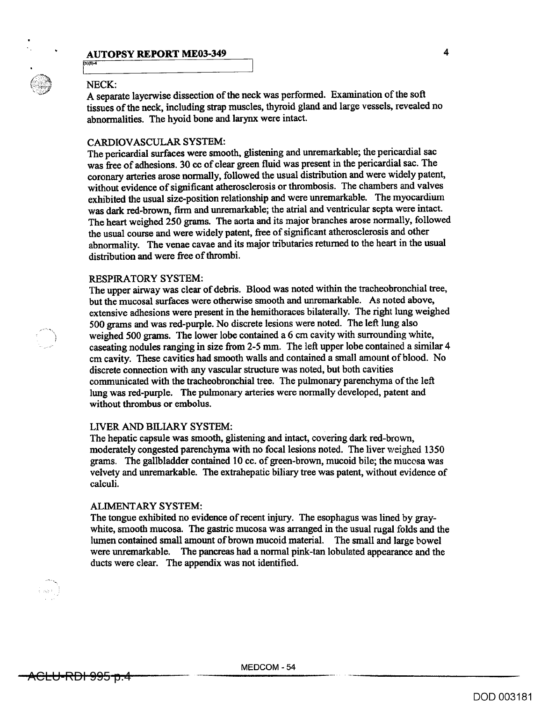# **AUTOPSY REPORT ME03-349** 4

### NECK:

 $(b)(6) - 4$ 

A separate layerwise dissection of the neck was performed. Examination of the soft tissues of the neck, including strap muscles, thyroid gland and large vessels, revealed no abnormalities. The hyoid bone and larynx were intact.

### CARDIOVASCULAR SYSTEM:

The pericardial surfaces were smooth, glistening and unremarkable; the pericardial sac was free of adhesions. 30 cc of clear green fluid was present in the pericardial sac. The coronary arteries arose normally, followed the usual distribution and were widely patent, without evidence of significant atherosclerosis or thrombosis. The chambers and valves exhibited the usual size-position relationship and were unremarkable. The myocardium was dark red-brown, firm and unremarkable; the atrial and ventricular septa were intact. The heart weighed 250 grams. The aorta and its major branches arose normally, followed the usual course and were widely patent, free of significant atherosclerosis and other abnormality. The venae cavae and its major tributaries returned to the heart in the usual distribution and were free of thrombi.

### RESPIRATORY SYSTEM:

The upper airway was clear of debris. Blood was noted within the tracheobronchial tree, but the mucosal surfaces were otherwise smooth and unremarkable. As noted above, extensive adhesions were present in the hemithoraces bilaterally. The right lung weighed 500 grams and was red-purple. No discrete lesions were noted. The left lung also weighed 500 grams. The lower lobe contained a 6 cm cavity with surrounding white, caseating nodules ranging in size from 2-5 mm. The left upper lobe contained a similar 4 cm cavity. These cavities had smooth walls and contained a small amount of blood. No discrete connection with any vascular structure was noted, but both cavities communicated with the tracheobronchial tree. The pulmonary parenchyma of the left lung was red-purple. The pulmonary arteries were normally developed, patent and without thrombus or embolus.

### LIVER AND BILIARY SYSTEM:

The hepatic capsule was smooth, glistening and intact, covering dark red-brown, moderately congested parenchyma with no focal lesions noted. The liver **weighed** 1350 grams. The gallbladder contained 10 cc. of green-brown, mucoid bile; the mucosa was velvety and unremarkable. The extrahepatic biliary tree was patent, without evidence of calculi.

#### ALIMENTARY SYSTEM:

The tongue exhibited no evidence of recent injury. The esophagus was lined by graywhite, smooth mucosa. The gastric mucosa was arranged in the usual rugal folds and the lumen contained small amount of brown mucoid material. The small and large bowel were unremarkable. The pancreas had a normal pink-tan lobulated appearance and the ducts were clear. The appendix was not identified.

 $\langle n \rangle \rangle$  is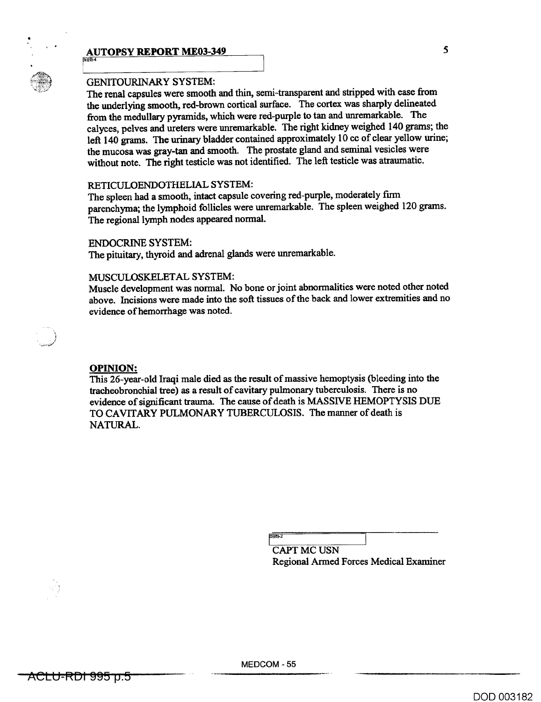# **AUTOPSY REPORT ME03-349** 5



)1(1".• (8)-4

# GENITOURINARY SYSTEM:

The renal capsules were smooth and thin, semi-transparent and stripped with ease from the underlying smooth, red-brown cortical surface. The cortex was sharply delineated from the medullary pyramids, which were red-purple to tan and unremarkable. The calyces, pelves and ureters were unremarkable. The right kidney weighed 140 grams; the left 140 grams. The urinary bladder contained approximately 10 cc of clear yellow urine; the mucosa was gray-tan and smooth. The prostate gland and seminal vesicles were without note. The right testicle was not identified. The left testicle was atraumatic.

### RETICULOENDOTHELIAL SYSTEM:

The spleen had a smooth, intact capsule covering red-purple, moderately firm parenchyma; the lymphoid follicles were unremarkable. The spleen weighed 120 grams. The regional lymph nodes appeared normal.

### ENDOCRINE SYSTEM:

The pituitary, thyroid and adrenal glands were unremarkable.

### MUSCULOSKELETAL SYSTEM:

Muscle development was normal. No bone or joint abnormalities were noted other noted above. Incisions were made into the soft tissues of the back and lower extremities and no evidence of hemorrhage was noted.

### **OPINION:**

This 26-year-old Iraqi male died as the result of massive hemoptysis (bleeding into the tracheobronchial tree) as a result of cavitary pulmonary tuberculosis. There is no evidence of significant trauma. The cause of death is MASSIVE HEMOPTYSIS DUE TO CAVITARY PULMONARY TUBERCULOSIS. The manner of death is NATURAL.

 $b\overline{101-2}$ 

CAPT MC USN Regional Armed Forces Medical Examiner